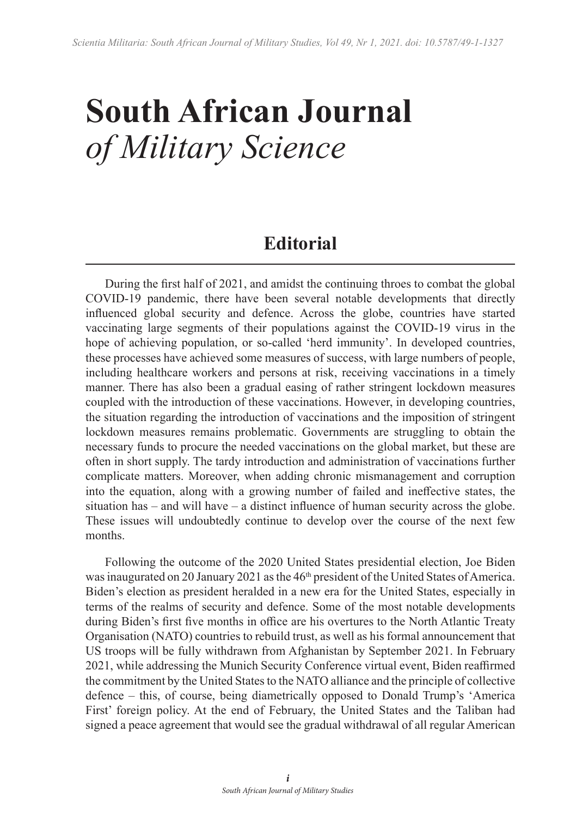## **South African Journal** *of Military Science*

## **Editorial**

During the first half of 2021, and amidst the continuing throes to combat the global COVID-19 pandemic, there have been several notable developments that directly influenced global security and defence. Across the globe, countries have started vaccinating large segments of their populations against the COVID-19 virus in the hope of achieving population, or so-called 'herd immunity'. In developed countries, these processes have achieved some measures of success, with large numbers of people, including healthcare workers and persons at risk, receiving vaccinations in a timely manner. There has also been a gradual easing of rather stringent lockdown measures coupled with the introduction of these vaccinations. However, in developing countries, the situation regarding the introduction of vaccinations and the imposition of stringent lockdown measures remains problematic. Governments are struggling to obtain the necessary funds to procure the needed vaccinations on the global market, but these are often in short supply. The tardy introduction and administration of vaccinations further complicate matters. Moreover, when adding chronic mismanagement and corruption into the equation, along with a growing number of failed and ineffective states, the situation has – and will have – a distinct influence of human security across the globe. These issues will undoubtedly continue to develop over the course of the next few months.

Following the outcome of the 2020 United States presidential election, Joe Biden was inaugurated on 20 January 2021 as the 46<sup>th</sup> president of the United States of America. Biden's election as president heralded in a new era for the United States, especially in terms of the realms of security and defence. Some of the most notable developments during Biden's first five months in office are his overtures to the North Atlantic Treaty Organisation (NATO) countries to rebuild trust, as well as his formal announcement that US troops will be fully withdrawn from Afghanistan by September 2021. In February 2021, while addressing the Munich Security Conference virtual event, Biden reaffirmed the commitment by the United States to the NATO alliance and the principle of collective defence – this, of course, being diametrically opposed to Donald Trump's 'America First' foreign policy. At the end of February, the United States and the Taliban had signed a peace agreement that would see the gradual withdrawal of all regular American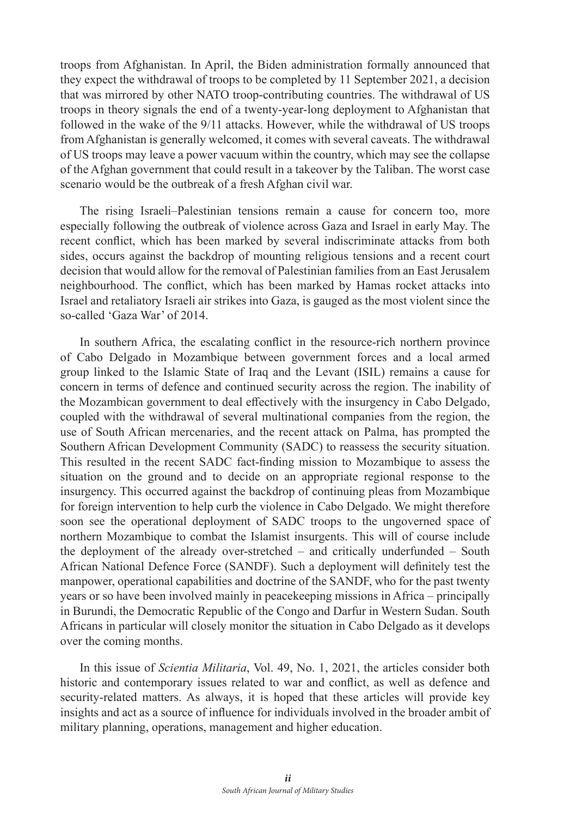troops from Afghanistan. In April, the Biden administration formally announced that they expect the withdrawal of troops to be completed by 11 September 2021, a decision that was mirrored by other NATO troop-contributing countries. The withdrawal of US troops in theory signals the end of a twenty-year-long deployment to Afghanistan that followed in the wake of the 9/11 attacks. However, while the withdrawal of US troops from Afghanistan is generally welcomed, it comes with several caveats. The withdrawal of US troops may leave a power vacuum within the country, which may see the collapse of the Afghan government that could result in a takeover by the Taliban. The worst case scenario would be the outbreak of a fresh Afghan civil war.

The rising Israeli–Palestinian tensions remain a cause for concern too, more especially following the outbreak of violence across Gaza and Israel in early May. The recent conflict, which has been marked by several indiscriminate attacks from both sides, occurs against the backdrop of mounting religious tensions and a recent court decision that would allow for the removal of Palestinian families from an East Jerusalem neighbourhood. The conflict, which has been marked by Hamas rocket attacks into Israel and retaliatory Israeli air strikes into Gaza, is gauged as the most violent since the so-called 'Gaza War' of 2014.

In southern Africa, the escalating conflict in the resource-rich northern province of Cabo Delgado in Mozambique between government forces and a local armed group linked to the Islamic State of Iraq and the Levant (ISIL) remains a cause for concern in terms of defence and continued security across the region. The inability of the Mozambican government to deal effectively with the insurgency in Cabo Delgado, coupled with the withdrawal of several multinational companies from the region, the use of South African mercenaries, and the recent attack on Palma, has prompted the Southern African Development Community (SADC) to reassess the security situation. This resulted in the recent SADC fact-finding mission to Mozambique to assess the situation on the ground and to decide on an appropriate regional response to the insurgency. This occurred against the backdrop of continuing pleas from Mozambique for foreign intervention to help curb the violence in Cabo Delgado. We might therefore soon see the operational deployment of SADC troops to the ungoverned space of northern Mozambique to combat the Islamist insurgents. This will of course include the deployment of the already over-stretched – and critically underfunded – South African National Defence Force (SANDF). Such a deployment will definitely test the manpower, operational capabilities and doctrine of the SANDF, who for the past twenty years or so have been involved mainly in peacekeeping missions in Africa – principally in Burundi, the Democratic Republic of the Congo and Darfur in Western Sudan. South Africans in particular will closely monitor the situation in Cabo Delgado as it develops over the coming months.

In this issue of *Scientia Militaria*, Vol. 49, No. 1, 2021, the articles consider both historic and contemporary issues related to war and conflict, as well as defence and security-related matters. As always, it is hoped that these articles will provide key insights and act as a source of influence for individuals involved in the broader ambit of military planning, operations, management and higher education.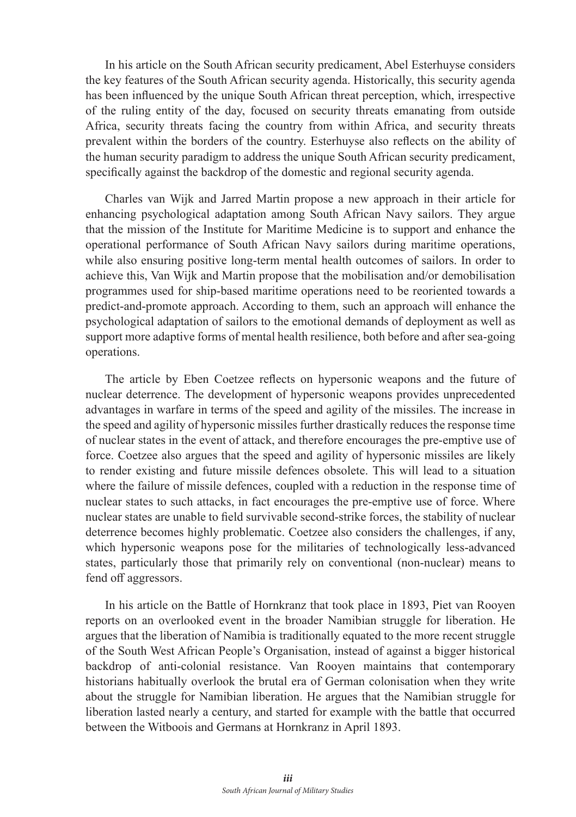In his article on the South African security predicament, Abel Esterhuyse considers the key features of the South African security agenda. Historically, this security agenda has been influenced by the unique South African threat perception, which, irrespective of the ruling entity of the day, focused on security threats emanating from outside Africa, security threats facing the country from within Africa, and security threats prevalent within the borders of the country. Esterhuyse also reflects on the ability of the human security paradigm to address the unique South African security predicament, specifically against the backdrop of the domestic and regional security agenda.

Charles van Wijk and Jarred Martin propose a new approach in their article for enhancing psychological adaptation among South African Navy sailors. They argue that the mission of the Institute for Maritime Medicine is to support and enhance the operational performance of South African Navy sailors during maritime operations, while also ensuring positive long-term mental health outcomes of sailors. In order to achieve this, Van Wijk and Martin propose that the mobilisation and/or demobilisation programmes used for ship-based maritime operations need to be reoriented towards a predict-and-promote approach. According to them, such an approach will enhance the psychological adaptation of sailors to the emotional demands of deployment as well as support more adaptive forms of mental health resilience, both before and after sea-going operations.

The article by Eben Coetzee reflects on hypersonic weapons and the future of nuclear deterrence. The development of hypersonic weapons provides unprecedented advantages in warfare in terms of the speed and agility of the missiles. The increase in the speed and agility of hypersonic missiles further drastically reduces the response time of nuclear states in the event of attack, and therefore encourages the pre-emptive use of force. Coetzee also argues that the speed and agility of hypersonic missiles are likely to render existing and future missile defences obsolete. This will lead to a situation where the failure of missile defences, coupled with a reduction in the response time of nuclear states to such attacks, in fact encourages the pre-emptive use of force. Where nuclear states are unable to field survivable second-strike forces, the stability of nuclear deterrence becomes highly problematic. Coetzee also considers the challenges, if any, which hypersonic weapons pose for the militaries of technologically less-advanced states, particularly those that primarily rely on conventional (non-nuclear) means to fend off aggressors.

In his article on the Battle of Hornkranz that took place in 1893, Piet van Rooyen reports on an overlooked event in the broader Namibian struggle for liberation. He argues that the liberation of Namibia is traditionally equated to the more recent struggle of the South West African People's Organisation, instead of against a bigger historical backdrop of anti-colonial resistance. Van Rooyen maintains that contemporary historians habitually overlook the brutal era of German colonisation when they write about the struggle for Namibian liberation. He argues that the Namibian struggle for liberation lasted nearly a century, and started for example with the battle that occurred between the Witboois and Germans at Hornkranz in April 1893.